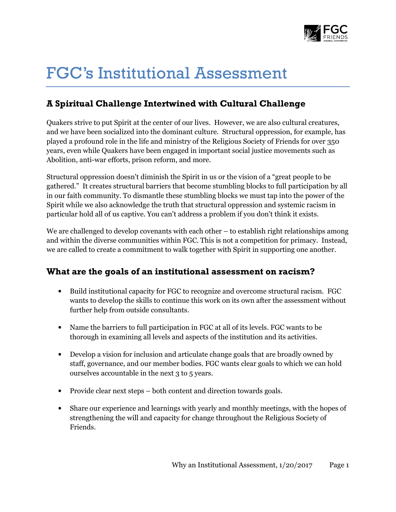

# FGC's Institutional Assessment

## A Spiritual Challenge Intertwined with Cultural Challenge

Quakers strive to put Spirit at the center of our lives. However, we are also cultural creatures, and we have been socialized into the dominant culture. Structural oppression, for example, has played a profound role in the life and ministry of the Religious Society of Friends for over 350 years, even while Quakers have been engaged in important social justice movements such as Abolition, anti-war efforts, prison reform, and more.

Structural oppression doesn't diminish the Spirit in us or the vision of a "great people to be gathered." It creates structural barriers that become stumbling blocks to full participation by all in our faith community. To dismantle these stumbling blocks we must tap into the power of the Spirit while we also acknowledge the truth that structural oppression and systemic racism in particular hold all of us captive. You can't address a problem if you don't think it exists.

We are challenged to develop covenants with each other – to establish right relationships among and within the diverse communities within FGC. This is not a competition for primacy. Instead, we are called to create a commitment to walk together with Spirit in supporting one another.

#### What are the goals of an institutional assessment on racism?

- Build institutional capacity for FGC to recognize and overcome structural racism. FGC wants to develop the skills to continue this work on its own after the assessment without further help from outside consultants.
- Name the barriers to full participation in FGC at all of its levels. FGC wants to be thorough in examining all levels and aspects of the institution and its activities.
- Develop a vision for inclusion and articulate change goals that are broadly owned by staff, governance, and our member bodies. FGC wants clear goals to which we can hold ourselves accountable in the next 3 to 5 years.
- Provide clear next steps both content and direction towards goals.
- Share our experience and learnings with yearly and monthly meetings, with the hopes of strengthening the will and capacity for change throughout the Religious Society of Friends.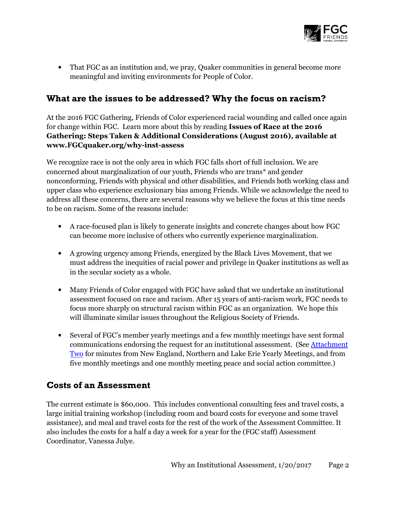

• That FGC as an institution and, we pray, Quaker communities in general become more meaningful and inviting environments for People of Color.

#### What are the issues to be addressed? Why the focus on racism?

At the 2016 FGC Gathering, Friends of Color experienced racial wounding and called once again for change within FGC. Learn more about this by reading Issues of Race at the 2016 Gathering: Steps Taken & Additional Considerations (August 2016), available at www.FGCquaker.org/why-inst-assess

We recognize race is not the only area in which FGC falls short of full inclusion. We are concerned about marginalization of our youth, Friends who are trans\* and gender nonconforming, Friends with physical and other disabilities, and Friends both working class and upper class who experience exclusionary bias among Friends. While we acknowledge the need to address all these concerns, there are several reasons why we believe the focus at this time needs to be on racism. Some of the reasons include:

- A race-focused plan is likely to generate insights and concrete changes about how FGC can become more inclusive of others who currently experience marginalization.
- A growing urgency among Friends, energized by the Black Lives Movement, that we must address the inequities of racial power and privilege in Quaker institutions as well as in the secular society as a whole.
- Many Friends of Color engaged with FGC have asked that we undertake an institutional assessment focused on race and racism. After 15 years of anti-racism work, FGC needs to focus more sharply on structural racism within FGC as an organization. We hope this will illuminate similar issues throughout the Religious Society of Friends.
- Several of FGC's member yearly meetings and a few monthly meetings have sent formal communications endorsing the request for an institutional assessment. (See Attachment Two for minutes from New England, Northern and Lake Erie Yearly Meetings, and from five monthly meetings and one monthly meeting peace and social action committee.)

#### Costs of an Assessment

The current estimate is \$60,000. This includes conventional consulting fees and travel costs, a large initial training workshop (including room and board costs for everyone and some travel assistance), and meal and travel costs for the rest of the work of the Assessment Committee. It also includes the costs for a half a day a week for a year for the (FGC staff) Assessment Coordinator, Vanessa Julye.